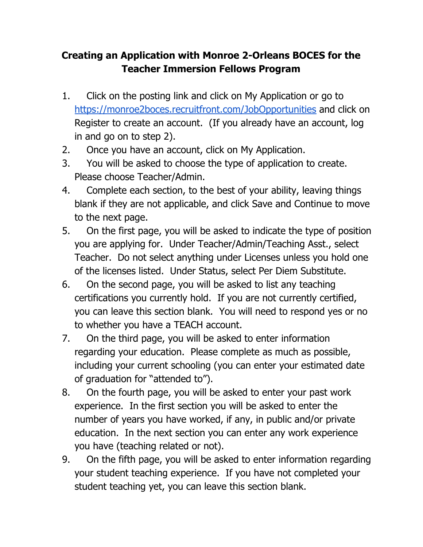## **Creating an Application with Monroe 2-Orleans BOCES for the Teacher Immersion Fellows Program**

- 1. Click on the posting link and click on My Application or go to <https://monroe2boces.recruitfront.com/JobOpportunities> and click on Register to create an account. (If you already have an account, log in and go on to step 2).
- 2. Once you have an account, click on My Application.
- 3. You will be asked to choose the type of application to create. Please choose Teacher/Admin.
- 4. Complete each section, to the best of your ability, leaving things blank if they are not applicable, and click Save and Continue to move to the next page.
- 5. On the first page, you will be asked to indicate the type of position you are applying for. Under Teacher/Admin/Teaching Asst., select Teacher. Do not select anything under Licenses unless you hold one of the licenses listed. Under Status, select Per Diem Substitute.
- 6. On the second page, you will be asked to list any teaching certifications you currently hold. If you are not currently certified, you can leave this section blank. You will need to respond yes or no to whether you have a TEACH account.
- 7. On the third page, you will be asked to enter information regarding your education. Please complete as much as possible, including your current schooling (you can enter your estimated date of graduation for "attended to").
- 8. On the fourth page, you will be asked to enter your past work experience. In the first section you will be asked to enter the number of years you have worked, if any, in public and/or private education. In the next section you can enter any work experience you have (teaching related or not).
- 9. On the fifth page, you will be asked to enter information regarding your student teaching experience. If you have not completed your student teaching yet, you can leave this section blank.